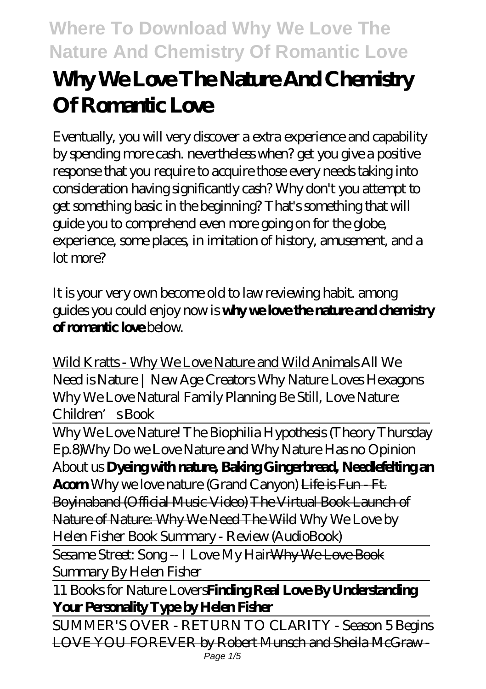# **Why We Love The Nature And Chemistry Of Romantic Love**

Eventually, you will very discover a extra experience and capability by spending more cash. nevertheless when? get you give a positive response that you require to acquire those every needs taking into consideration having significantly cash? Why don't you attempt to get something basic in the beginning? That's something that will guide you to comprehend even more going on for the globe, experience, some places, in imitation of history, amusement, and a lot more?

It is your very own become old to law reviewing habit. among guides you could enjoy now is **why we love the nature and chemistry of romantic love** below.

Wild Kratts - Why We Love Nature and Wild Animals *All We Need is Nature | New Age Creators Why Nature Loves Hexagons* Why We Love Natural Family Planning *Be Still, Love Nature: Children's Book*

Why We Love Nature! The Biophilia Hypothesis (Theory Thursday Ep.8)*Why Do we Love Nature and Why Nature Has no Opinion About us* **Dyeing with nature, Baking Gingerbread, Needlefelting an Acorn** *Why we love nature (Grand Canyon)* Life is Fun - Ft. Boyinaband (Official Music Video) The Virtual Book Launch of Nature of Nature: Why We Need The Wild *Why We Love by Helen Fisher Book Summary - Review (AudioBook)*

Sesame Street: Song -- I Love My Hair<del>Why We Love Book</del> Summary By Helen Fisher

11 Books for Nature Lovers**Finding Real Love By Understanding Your Personality Type by Helen Fisher**

SUMMER'S OVER - RETURN TO CLARITY - Season 5 Begins LOVE YOU FOREVER by Robert Munsch and Sheila McGraw - Page  $1/5$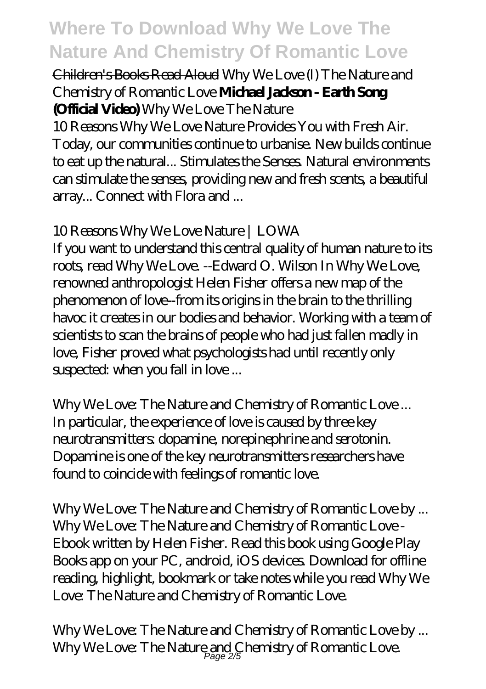### Children's Books Read Aloud *Why We Love (I) The Nature and Chemistry of Romantic Love* **Michael Jackson - Earth Song (Official Video)** *Why We Love The Nature*

10 Reasons Why We Love Nature Provides You with Fresh Air. Today, our communities continue to urbanise. New builds continue to eat up the natural... Stimulates the Senses. Natural environments can stimulate the senses, providing new and fresh scents, a beautiful array... Connect with Flora and ...

## *10 Reasons Why We Love Nature | LOWA*

If you want to understand this central quality of human nature to its roots, read Why We Love. --Edward O. Wilson In Why We Love, renowned anthropologist Helen Fisher offers a new map of the phenomenon of love--from its origins in the brain to the thrilling havoc it creates in our bodies and behavior. Working with a team of scientists to scan the brains of people who had just fallen madly in love, Fisher proved what psychologists had until recently only suspected: when you fall in love ...

*Why We Love: The Nature and Chemistry of Romantic Love ...* In particular, the experience of love is caused by three key neurotransmitters: dopamine, norepinephrine and serotonin. Dopamine is one of the key neurotransmitters researchers have found to coincide with feelings of romantic love.

*Why We Love: The Nature and Chemistry of Romantic Love by ...* Why We Love: The Nature and Chemistry of Romantic Love - Ebook written by Helen Fisher. Read this book using Google Play Books app on your PC, android, iOS devices. Download for offline reading, highlight, bookmark or take notes while you read Why We Love: The Nature and Chemistry of Romantic Love.

*Why We Love: The Nature and Chemistry of Romantic Love by ...* Why We Love: The Nature and Chemistry of Romantic Love. Page 2/5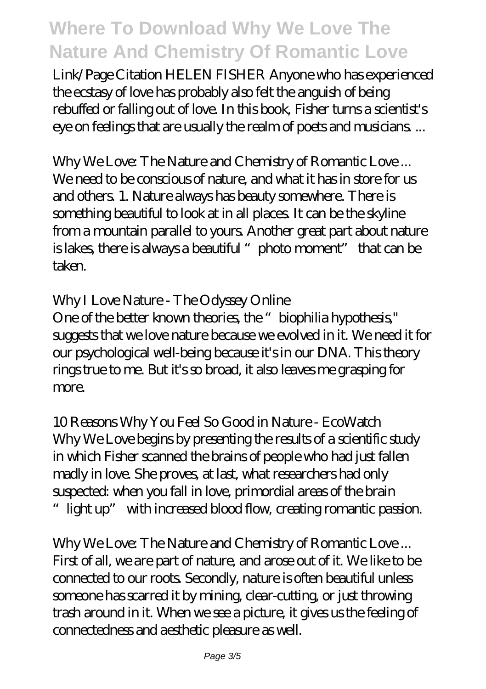Link/Page Citation HELEN FISHER Anyone who has experienced the ecstasy of love has probably also felt the anguish of being rebuffed or falling out of love. In this book, Fisher turns a scientist's eye on feelings that are usually the realm of poets and musicians. ...

*Why We Love: The Nature and Chemistry of Romantic Love ...* We need to be conscious of nature, and what it has in store for us and others. 1. Nature always has beauty somewhere. There is something beautiful to look at in all places. It can be the skyline from a mountain parallel to yours. Another great part about nature is lakes, there is always a beautiful "photo moment" that can be taken.

### *Why I Love Nature - The Odyssey Online*

One of the better known theories, the "biophilia hypothesis," suggests that we love nature because we evolved in it. We need it for our psychological well-being because it's in our DNA. This theory rings true to me. But it's so broad, it also leaves me grasping for more.

*10 Reasons Why You Feel So Good in Nature - EcoWatch* Why We Love begins by presenting the results of a scientific study in which Fisher scanned the brains of people who had just fallen madly in love. She proves, at last, what researchers had only suspected: when you fall in love, primordial areas of the brain "light up" with increased blood flow, creating romantic passion.

*Why We Love: The Nature and Chemistry of Romantic Love ...* First of all, we are part of nature, and arose out of it. We like to be connected to our roots. Secondly, nature is often beautiful unless someone has scarred it by mining, clear-cutting, or just throwing trash around in it. When we see a picture, it gives us the feeling of connectedness and aesthetic pleasure as well.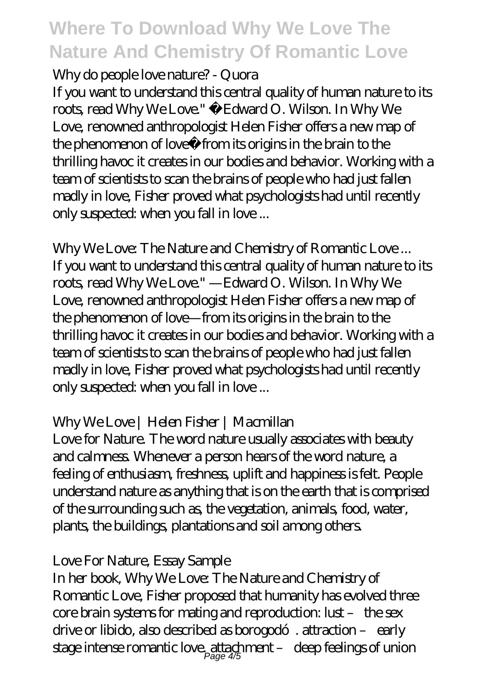#### *Why do people love nature? - Quora*

If you want to understand this central quality of human nature to its roots, read Why We Love." ―Edward O. Wilson. In Why We Love, renowned anthropologist Helen Fisher offers a new map of the phenomenon of love―from its origins in the brain to the thrilling havoc it creates in our bodies and behavior. Working with a team of scientists to scan the brains of people who had just fallen madly in love, Fisher proved what psychologists had until recently only suspected: when you fall in love ...

*Why We Love: The Nature and Chemistry of Romantic Love ...* If you want to understand this central quality of human nature to its roots, read Why We Love." —Edward O. Wilson. In Why We Love, renowned anthropologist Helen Fisher offers a new map of the phenomenon of love—from its origins in the brain to the thrilling havoc it creates in our bodies and behavior. Working with a team of scientists to scan the brains of people who had just fallen madly in love, Fisher proved what psychologists had until recently only suspected: when you fall in love ...

## *Why We Love | Helen Fisher | Macmillan*

Love for Nature. The word nature usually associates with beauty and calmness. Whenever a person hears of the word nature, a feeling of enthusiasm, freshness, uplift and happiness is felt. People understand nature as anything that is on the earth that is comprised of the surrounding such as, the vegetation, animals, food, water, plants, the buildings, plantations and soil among others.

#### *Love For Nature, Essay Sample*

In her book, Why We Love: The Nature and Chemistry of Romantic Love, Fisher proposed that humanity has evolved three core brain systems for mating and reproduction: lust – the sex drive or libido, also described as borogodó. attraction – early stage intense romantic love, attachment –  $\,$  deep feelings of union